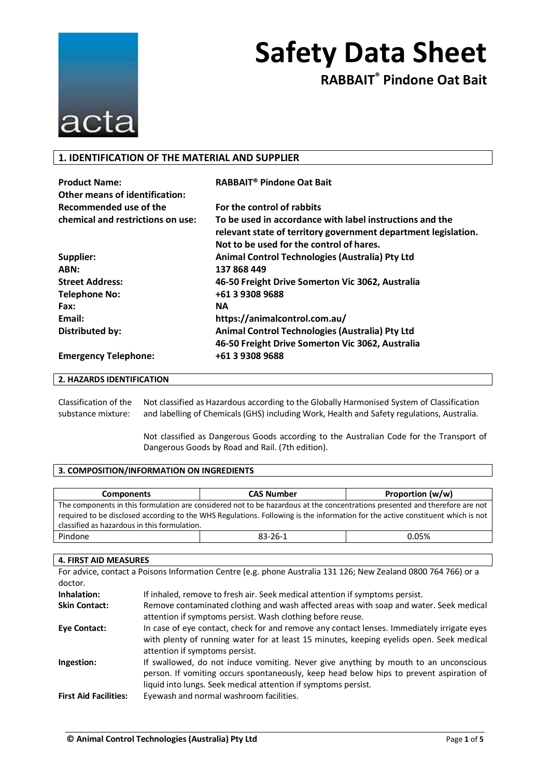

**RABBAIT® Pindone Oat Bait**

### **1. IDENTIFICATION OF THE MATERIAL AND SUPPLIER**

| <b>Product Name:</b>                  | RABBAIT <sup>®</sup> Pindone Oat Bait                          |
|---------------------------------------|----------------------------------------------------------------|
| <b>Other means of identification:</b> |                                                                |
| Recommended use of the                | For the control of rabbits                                     |
| chemical and restrictions on use:     | To be used in accordance with label instructions and the       |
|                                       | relevant state of territory government department legislation. |
|                                       | Not to be used for the control of hares.                       |
| Supplier:                             | Animal Control Technologies (Australia) Pty Ltd                |
| ABN:                                  | 137 868 449                                                    |
| <b>Street Address:</b>                | 46-50 Freight Drive Somerton Vic 3062, Australia               |
| <b>Telephone No:</b>                  | +61 3 9308 9688                                                |
| Fax:                                  | <b>NA</b>                                                      |
| Email:                                | https://animalcontrol.com.au/                                  |
| <b>Distributed by:</b>                | Animal Control Technologies (Australia) Pty Ltd                |
|                                       | 46-50 Freight Drive Somerton Vic 3062, Australia               |
| <b>Emergency Telephone:</b>           | +61 3 9308 9688                                                |

### **2. HAZARDS IDENTIFICATION**

Classification of the substance mixture: Not classified as Hazardous according to the Globally Harmonised System of Classification and labelling of Chemicals (GHS) including Work, Health and Safety regulations, Australia.

> Not classified as Dangerous Goods according to the Australian Code for the Transport of Dangerous Goods by Road and Rail. (7th edition).

### **3. COMPOSITION/INFORMATION ON INGREDIENTS**

| <b>Components</b>                                                                                                           | <b>CAS Number</b>                                                                                                               | Proportion (w/w) |
|-----------------------------------------------------------------------------------------------------------------------------|---------------------------------------------------------------------------------------------------------------------------------|------------------|
| The components in this formulation are considered not to be hazardous at the concentrations presented and therefore are not |                                                                                                                                 |                  |
|                                                                                                                             | required to be disclosed according to the WHS Regulations. Following is the information for the active constituent which is not |                  |
| classified as hazardous in this formulation.                                                                                |                                                                                                                                 |                  |
| Pindone                                                                                                                     | $83 - 26 - 1$                                                                                                                   | 0.05%            |

#### **4. FIRST AID MEASURES**

For advice, contact a Poisons Information Centre (e.g. phone Australia 131 126; New Zealand 0800 764 766) or a doctor.

| Inhalation:                  | If inhaled, remove to fresh air. Seek medical attention if symptoms persist.               |
|------------------------------|--------------------------------------------------------------------------------------------|
| <b>Skin Contact:</b>         | Remove contaminated clothing and wash affected areas with soap and water. Seek medical     |
|                              | attention if symptoms persist. Wash clothing before reuse.                                 |
| Eye Contact:                 | In case of eye contact, check for and remove any contact lenses. Immediately irrigate eyes |
|                              | with plenty of running water for at least 15 minutes, keeping eyelids open. Seek medical   |
|                              | attention if symptoms persist.                                                             |
| Ingestion:                   | If swallowed, do not induce vomiting. Never give anything by mouth to an unconscious       |
|                              | person. If vomiting occurs spontaneously, keep head below hips to prevent aspiration of    |
|                              | liquid into lungs. Seek medical attention if symptoms persist.                             |
| <b>First Aid Facilities:</b> | Eyewash and normal washroom facilities.                                                    |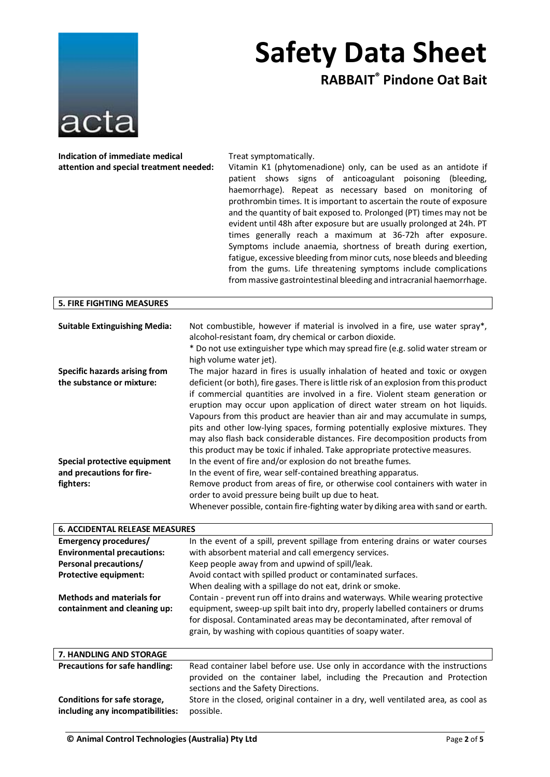

**RABBAIT® Pindone Oat Bait**

**Indication of immediate medical attention and special treatment needed:** Treat symptomatically.

Vitamin K1 (phytomenadione) only, can be used as an antidote if patient shows signs of anticoagulant poisoning (bleeding, haemorrhage). Repeat as necessary based on monitoring of prothrombin times. It is important to ascertain the route of exposure and the quantity of bait exposed to. Prolonged (PT) times may not be evident until 48h after exposure but are usually prolonged at 24h. PT times generally reach a maximum at 36-72h after exposure. Symptoms include anaemia, shortness of breath during exertion, fatigue, excessive bleeding from minor cuts, nose bleeds and bleeding from the gums. Life threatening symptoms include complications from massive gastrointestinal bleeding and intracranial haemorrhage.

| <b>5. FIRE FIGHTING MEASURES</b>      |                                                                                                                                                                                                                                                                                                                                                                                                                                                                                                                                                                                      |
|---------------------------------------|--------------------------------------------------------------------------------------------------------------------------------------------------------------------------------------------------------------------------------------------------------------------------------------------------------------------------------------------------------------------------------------------------------------------------------------------------------------------------------------------------------------------------------------------------------------------------------------|
|                                       |                                                                                                                                                                                                                                                                                                                                                                                                                                                                                                                                                                                      |
| <b>Suitable Extinguishing Media:</b>  | Not combustible, however if material is involved in a fire, use water spray*,                                                                                                                                                                                                                                                                                                                                                                                                                                                                                                        |
|                                       | alcohol-resistant foam, dry chemical or carbon dioxide.                                                                                                                                                                                                                                                                                                                                                                                                                                                                                                                              |
|                                       | * Do not use extinguisher type which may spread fire (e.g. solid water stream or<br>high volume water jet).                                                                                                                                                                                                                                                                                                                                                                                                                                                                          |
| <b>Specific hazards arising from</b>  | The major hazard in fires is usually inhalation of heated and toxic or oxygen                                                                                                                                                                                                                                                                                                                                                                                                                                                                                                        |
| the substance or mixture:             | deficient (or both), fire gases. There is little risk of an explosion from this product<br>if commercial quantities are involved in a fire. Violent steam generation or<br>eruption may occur upon application of direct water stream on hot liquids.<br>Vapours from this product are heavier than air and may accumulate in sumps,<br>pits and other low-lying spaces, forming potentially explosive mixtures. They<br>may also flash back considerable distances. Fire decomposition products from<br>this product may be toxic if inhaled. Take appropriate protective measures. |
| Special protective equipment          | In the event of fire and/or explosion do not breathe fumes.                                                                                                                                                                                                                                                                                                                                                                                                                                                                                                                          |
| and precautions for fire-             | In the event of fire, wear self-contained breathing apparatus.                                                                                                                                                                                                                                                                                                                                                                                                                                                                                                                       |
| fighters:                             | Remove product from areas of fire, or otherwise cool containers with water in                                                                                                                                                                                                                                                                                                                                                                                                                                                                                                        |
|                                       | order to avoid pressure being built up due to heat.                                                                                                                                                                                                                                                                                                                                                                                                                                                                                                                                  |
|                                       | Whenever possible, contain fire-fighting water by diking area with sand or earth.                                                                                                                                                                                                                                                                                                                                                                                                                                                                                                    |
|                                       |                                                                                                                                                                                                                                                                                                                                                                                                                                                                                                                                                                                      |
| <b>6. ACCIDENTAL RELEASE MEASURES</b> |                                                                                                                                                                                                                                                                                                                                                                                                                                                                                                                                                                                      |
| Emergency procedures/                 | In the event of a spill, prevent spillage from entering drains or water courses                                                                                                                                                                                                                                                                                                                                                                                                                                                                                                      |
| <b>Environmental precautions:</b>     | with absorbent material and call emergency services.                                                                                                                                                                                                                                                                                                                                                                                                                                                                                                                                 |
|                                       | الملحول القريم فيمار والمستنبات والمستحدث والمستحدث والمستحدث والمستحيث                                                                                                                                                                                                                                                                                                                                                                                                                                                                                                              |

| Personal precautions/                 | Keep people away from and upwind of spill/leak.                                    |
|---------------------------------------|------------------------------------------------------------------------------------|
| Protective equipment:                 | Avoid contact with spilled product or contaminated surfaces.                       |
|                                       | When dealing with a spillage do not eat, drink or smoke.                           |
| <b>Methods and materials for</b>      | Contain - prevent run off into drains and waterways. While wearing protective      |
| containment and cleaning up:          | equipment, sweep-up spilt bait into dry, properly labelled containers or drums     |
|                                       | for disposal. Contaminated areas may be decontaminated, after removal of           |
|                                       | grain, by washing with copious quantities of soapy water.                          |
|                                       |                                                                                    |
| <b>7. HANDLING AND STORAGE</b>        |                                                                                    |
| <b>Precautions for safe handling:</b> | Read container label before use. Use only in accordance with the instructions      |
|                                       | provided on the container label, including the Precaution and Protection           |
|                                       | sections and the Safety Directions.                                                |
| Conditions for safe storage,          | Store in the closed, original container in a dry, well ventilated area, as cool as |
|                                       |                                                                                    |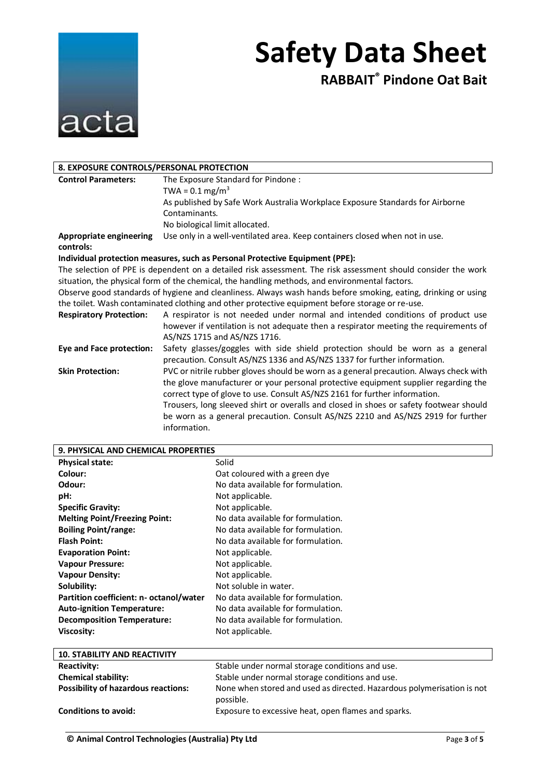

**RABBAIT® Pindone Oat Bait**

| 8. EXPOSURE CONTROLS/PERSONAL PROTECTION |                                                                                                                |
|------------------------------------------|----------------------------------------------------------------------------------------------------------------|
| <b>Control Parameters:</b>               | The Exposure Standard for Pindone:                                                                             |
|                                          | TWA = $0.1 \,\mathrm{mg/m^3}$                                                                                  |
|                                          | As published by Safe Work Australia Workplace Exposure Standards for Airborne                                  |
|                                          | Contaminants.                                                                                                  |
|                                          | No biological limit allocated.                                                                                 |
| Appropriate engineering                  | Use only in a well-ventilated area. Keep containers closed when not in use.                                    |
| controls:                                |                                                                                                                |
|                                          | Individual protection measures, such as Personal Protective Equipment (PPE):                                   |
|                                          | The selection of PPE is dependent on a detailed risk assessment. The risk assessment should consider the work  |
|                                          | situation, the physical form of the chemical, the handling methods, and environmental factors.                 |
|                                          | Observe good standards of hygiene and cleanliness. Always wash hands before smoking, eating, drinking or using |
|                                          | the toilet. Wash contaminated clothing and other protective equipment before storage or re-use.                |
| <b>Respiratory Protection:</b>           | A respirator is not needed under normal and intended conditions of product use                                 |
|                                          | however if ventilation is not adequate then a respirator meeting the requirements of                           |
|                                          | AS/NZS 1715 and AS/NZS 1716.                                                                                   |
| Eye and Face protection:                 | Safety glasses/goggles with side shield protection should be worn as a general                                 |
|                                          | precaution. Consult AS/NZS 1336 and AS/NZS 1337 for further information.                                       |
| <b>Skin Protection:</b>                  | PVC or nitrile rubber gloves should be worn as a general precaution. Always check with                         |
|                                          | the glove manufacturer or your personal protective equipment supplier regarding the                            |
|                                          | correct type of glove to use. Consult AS/NZS 2161 for further information.                                     |
|                                          | Trousers, long sleeved shirt or overalls and closed in shoes or safety footwear should                         |
|                                          | be worn as a general precaution. Consult AS/NZS 2210 and AS/NZS 2919 for further                               |
|                                          | information.                                                                                                   |

| 9. PHYSICAL AND CHEMICAL PROPERTIES        |                                                                                     |
|--------------------------------------------|-------------------------------------------------------------------------------------|
| <b>Physical state:</b>                     | Solid                                                                               |
| Colour:                                    | Oat coloured with a green dye                                                       |
| Odour:                                     | No data available for formulation.                                                  |
| pH:                                        | Not applicable.                                                                     |
| <b>Specific Gravity:</b>                   | Not applicable.                                                                     |
| <b>Melting Point/Freezing Point:</b>       | No data available for formulation.                                                  |
| <b>Boiling Point/range:</b>                | No data available for formulation.                                                  |
| <b>Flash Point:</b>                        | No data available for formulation.                                                  |
| <b>Evaporation Point:</b>                  | Not applicable.                                                                     |
| <b>Vapour Pressure:</b>                    | Not applicable.                                                                     |
| <b>Vapour Density:</b>                     | Not applicable.                                                                     |
| Solubility:                                | Not soluble in water.                                                               |
| Partition coefficient: n- octanol/water    | No data available for formulation.                                                  |
| <b>Auto-ignition Temperature:</b>          | No data available for formulation.                                                  |
| <b>Decomposition Temperature:</b>          | No data available for formulation.                                                  |
| <b>Viscosity:</b>                          | Not applicable.                                                                     |
|                                            |                                                                                     |
| <b>10. STABILITY AND REACTIVITY</b>        |                                                                                     |
| <b>Reactivity:</b>                         | Stable under normal storage conditions and use.                                     |
| <b>Chemical stability:</b>                 | Stable under normal storage conditions and use.                                     |
| <b>Possibility of hazardous reactions:</b> | None when stored and used as directed. Hazardous polymerisation is not<br>possible. |
| Conditions to avoid:                       | Exposure to excessive heat, open flames and sparks.                                 |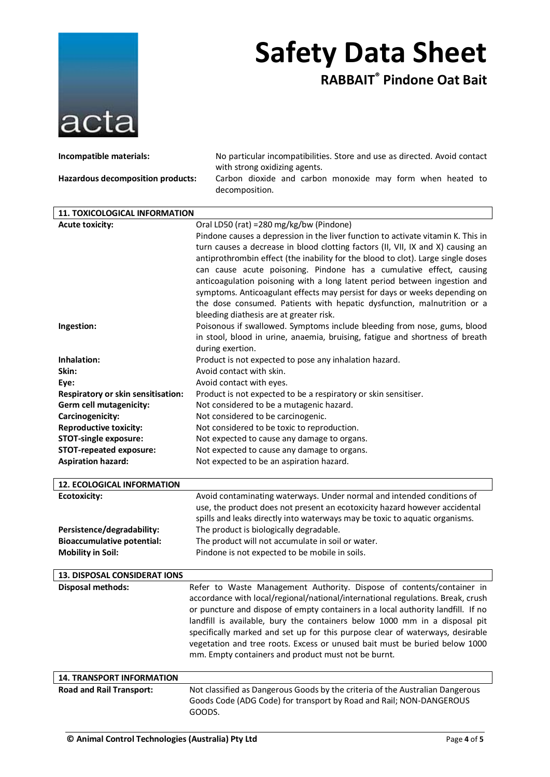

**RABBAIT® Pindone Oat Bait**

| Incompatible materials:                                       | No particular incompatibilities. Store and use as directed. Avoid contact<br>with strong oxidizing agents.                                              |
|---------------------------------------------------------------|---------------------------------------------------------------------------------------------------------------------------------------------------------|
| Hazardous decomposition products:                             | Carbon dioxide and carbon monoxide may form when heated to                                                                                              |
|                                                               | decomposition.                                                                                                                                          |
| 11. TOXICOLOGICAL INFORMATION                                 |                                                                                                                                                         |
| <b>Acute toxicity:</b>                                        | Oral LD50 (rat) =280 mg/kg/bw (Pindone)                                                                                                                 |
|                                                               | Pindone causes a depression in the liver function to activate vitamin K. This in                                                                        |
|                                                               | turn causes a decrease in blood clotting factors (II, VII, IX and X) causing an                                                                         |
|                                                               | antiprothrombin effect (the inability for the blood to clot). Large single doses                                                                        |
|                                                               | can cause acute poisoning. Pindone has a cumulative effect, causing                                                                                     |
|                                                               | anticoagulation poisoning with a long latent period between ingestion and<br>symptoms. Anticoagulant effects may persist for days or weeks depending on |
|                                                               | the dose consumed. Patients with hepatic dysfunction, malnutrition or a                                                                                 |
|                                                               | bleeding diathesis are at greater risk.                                                                                                                 |
| Ingestion:                                                    | Poisonous if swallowed. Symptoms include bleeding from nose, gums, blood                                                                                |
|                                                               | in stool, blood in urine, anaemia, bruising, fatigue and shortness of breath                                                                            |
|                                                               | during exertion.                                                                                                                                        |
| Inhalation:                                                   | Product is not expected to pose any inhalation hazard.                                                                                                  |
| Skin:                                                         | Avoid contact with skin.                                                                                                                                |
| Eye:                                                          | Avoid contact with eyes.                                                                                                                                |
| Respiratory or skin sensitisation:<br>Germ cell mutagenicity: | Product is not expected to be a respiratory or skin sensitiser.<br>Not considered to be a mutagenic hazard.                                             |
| Carcinogenicity:                                              | Not considered to be carcinogenic.                                                                                                                      |
| <b>Reproductive toxicity:</b>                                 | Not considered to be toxic to reproduction.                                                                                                             |
| <b>STOT-single exposure:</b>                                  | Not expected to cause any damage to organs.                                                                                                             |
| <b>STOT-repeated exposure:</b>                                | Not expected to cause any damage to organs.                                                                                                             |
| <b>Aspiration hazard:</b>                                     | Not expected to be an aspiration hazard.                                                                                                                |
| <b>12. ECOLOGICAL INFORMATION</b>                             |                                                                                                                                                         |
| <b>Ecotoxicity:</b>                                           | Avoid contaminating waterways. Under normal and intended conditions of                                                                                  |
|                                                               | use, the product does not present an ecotoxicity hazard however accidental                                                                              |
|                                                               | spills and leaks directly into waterways may be toxic to aquatic organisms.                                                                             |
| Persistence/degradability:                                    | The product is biologically degradable.                                                                                                                 |
| <b>Bioaccumulative potential:</b>                             | The product will not accumulate in soil or water.                                                                                                       |
| <b>Mobility in Soil:</b>                                      | Pindone is not expected to be mobile in soils.                                                                                                          |
| <b>13. DISPOSAL CONSIDERAT IONS</b>                           |                                                                                                                                                         |
| <b>Disposal methods:</b>                                      | Refer to Waste Management Authority. Dispose of contents/container in                                                                                   |
|                                                               | accordance with local/regional/national/international regulations. Break, crush                                                                         |
|                                                               | or puncture and dispose of empty containers in a local authority landfill. If no                                                                        |
|                                                               | landfill is available, bury the containers below 1000 mm in a disposal pit                                                                              |
|                                                               | specifically marked and set up for this purpose clear of waterways, desirable                                                                           |
|                                                               | vegetation and tree roots. Excess or unused bait must be buried below 1000                                                                              |
|                                                               | mm. Empty containers and product must not be burnt.                                                                                                     |
| <b>14. TRANSPORT INFORMATION</b>                              |                                                                                                                                                         |
| <b>Road and Rail Transport:</b>                               | Not classified as Dangerous Goods by the criteria of the Australian Dangerous                                                                           |
|                                                               | Goods Code (ADG Code) for transport by Road and Rail; NON-DANGEROUS<br>GOODS.                                                                           |